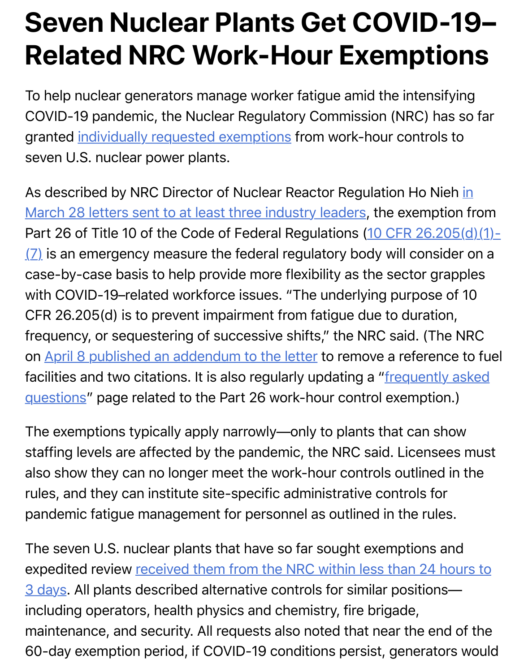To help nuclear generators manage worker fatigue amid the intensif COVID-19 pandemic, the Nuclear Regulatory Commission (NRC) ha granted individually requested exemptions from work-hour controls seven U.S. nuclear power plants.

As described by NRC Director of Nuclear Reactor Regulation Ho Nie March 28 letters sent to at least three industry leaders, the exemption Part 26 [of Title 10 of the Code of Federal R](https://www.powermag.com/nrc-to-consider-covid-19-exemptions-for-nuclear-plant-work-hour-controls/)egulations (10 CFR 26.205)  $(2)$  is an emergency measure the federal regulatory body will consider on a case-by-case basis to help provide more flexibility as the sector gra with COVID-19-related workforce issues. "The underlying purpose CFR 26.205(d) is to prevent impairment from fatigue due to duration, [frequency, or sequestering of successive shifts," the NRC said. \(The NRC](https://www.nrc.gov/reading-rm/doc-collections/cfr/part026/part026-0205.html) on April 8 published an addendum to the letter to remove a reference facilities and two citations. It is also regularly updating a "frequently questions" page related to the Part 26 work-hour control exemption

The exemptions typically apply narrowly—only to plants that can show st[affing levels are affected by the pandemic, th](https://adamswebsearch2.nrc.gov/webSearch2/main.jsp?AccessionNumber=ML20098B333)e NRC said. Licensee also show they can no longer meet the work-hour controls outlined rules, and they can institute site-specific administrative controls for pandemic fatigue management for personnel as outlined in the rules

The seven U.S. nuclear plants that have so far sought exemptions a expedited review received them from the NRC within less than 24 h 3 days. All plants described alternative controls for similar positions including operators, health physics and chemistry, fire brigade, maintenance, and security. All requests also noted that near the end 60-day exemption period, if COVID-19 conditions persist, generator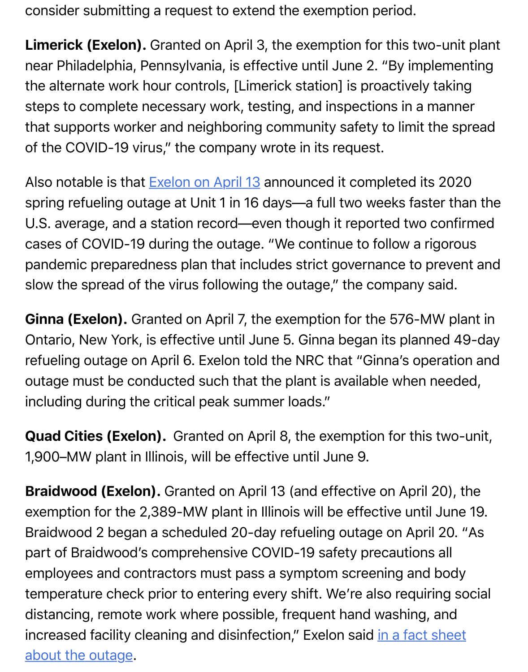the alternation is probability for  $\mathbb{L}$  is probability taking stationary is probability taking taking taking  $\mathbb{L}$ steps to complete necessary work, testing, and inspections in a man that supports worker and neighboring community safety to limit the of the COVID-19 virus," the company wrote in its request.

Also notable is that **Exelon on April 13** announced it completed its 20 spring refueling outage at Unit 1 in 16 days—a full two weeks faster U.S. average, and a station record—even though it reported two con cases of COVID-19 during the outage. "We continue to follow a rigo pandemic prepared[ness plan that incl](https://www.exeloncorp.com/locations/Pages/Limerick-Generating-Station-Refueling-Outage.aspx)udes strict governance to prev slow the spread of the virus following the outage," the company said

**Ginna (Exelon).** Granted on April 7, the exemption for the 576-MW Ontario, New York, is effective until June 5. Ginna began its planned refueling outage on April 6. Exelon told the NRC that "Ginna's opera outage must be conducted such that the plant is available when need including during the critical peak summer loads."

**Quad Cities (Exelon).** Granted on April 8, the exemption for this two-1,900–MW plant in Illinois, will be effective until June 9.

**Braidwood (Exelon).** Granted on April 13 (and effective on April 20 exemption for the 2,389-MW plant in Illinois will be effective until June Braidwood 2 began a scheduled 20-day refueling outage on April 20. part of Braidwood's comprehensive COVID-19 safety precautions all employees and contractors must pass a symptom screening and bo temperature check prior to entering every shift. We're also requiring distancing, remote work where possible, frequent hand washing, an increased facility cleaning and disinfection," Exelon said in a fact she about the outage.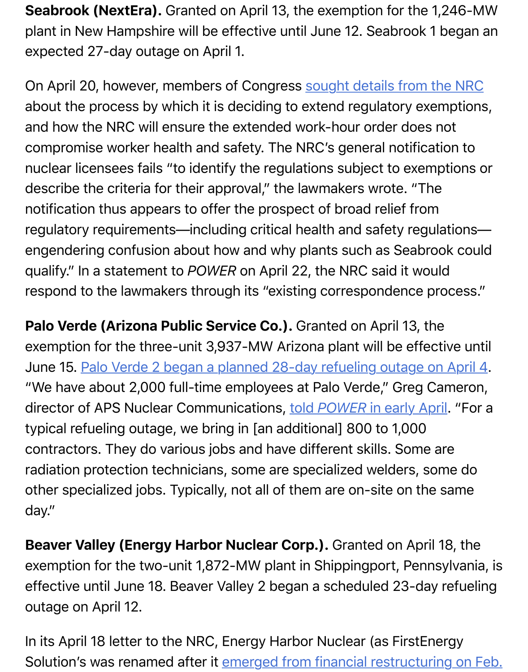On April 20, however, members of Congress sought details from the NRC about the process by which it is deciding to extend regulatory exem and how the NRC will ensure the extended work-hour order does no compromise worker health and safety. The NRC's general notification nuclear licensees fails "to identify the regulations subject to exempt describe the criteria for their approval," the lawmakers wrote. "The notification thus appears to offer the prospect of broad relief from regulatory requirements—including critical health and safety regulations engendering confusion about how and why plants such as Seabrool qualify." In a statement to *POWER* on April 22, the NRC said it would respond to the lawmakers through its "existing correspondence pro

**Palo Verde (Arizona Public Service Co.).** Granted on April 13, the exemption for the three-unit 3,937-MW Arizona plant will be effective June 15. Palo Verde 2 began a planned 28-day refueling outage on. "We have about 2,000 full-time employees at Palo Verde," Greg Car director of APS Nuclear Communications, told POWER in early April typical refueling outage, we bring in [an additional] 800 to 1,000 contract[ors. They do various jobs and have different skills. Some are](https://www.powermag.com/palo-verdes-refueling-ensure-safety-reliability/) radiation protection technicians, some are specialized welders, som other specialized jobs. Typically, not all of [them are on-site on the sa](https://www.powermag.com/palo-verdes-refueling-ensure-safety-reliability/)me day."

**Beaver Valley (Energy Harbor Nuclear Corp.).** Granted on April 18 exemption for the two-unit 1,872-MW plant in Shippingport, Pennsy effective until June 18. Beaver Valley 2 began a scheduled 23-day re outage on April 12.

In its April 18 letter to the NRC, Energy Harbor Nuclear (as FirstEner Solution's was renamed after it emerged from financial restructuring